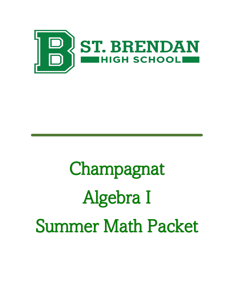

# Champagnat Algebra I Summer Math Packet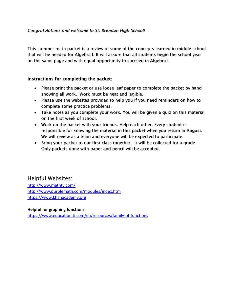### *Congratulations and welcome to St. Brendan High School!*

This summer math packet is a review of some of the concepts learned in middle school that will be needed for Algebra I. It will assure that all students begin the school year on the same page and with equal opportunity to succeed in Algebra I.

## Instructions for completing the packet:

- Please print the packet or use loose leaf paper to complete the packet by hand showing all work. Work must be neat and legible.
- Please use the websites provided to help you if you need reminders on how to complete some practice problems.
- Take notes as you complete your work. You will be given a quiz on this material on the first week of school.
- Work on the packet with your friends. Help each other. Every student is responsible for knowing the material in this packet when you return in August. We will review as a team and everyone will be expected to participate.
- Bring your packet to our first class together. It will be collected for a grade. Only packets done with paper and pencil will be accepted.

# Helpful Websites:

[http://www.mathtv.com/](https://mathtv.com/) <http://www.purplemath.com/modules/index.htm> [https://www.khanacademy.org](https://www.khanacademy.org/)

**Helpful for graphing functions:**  <https://www.education.ti.com/en/resources/family-of-functions>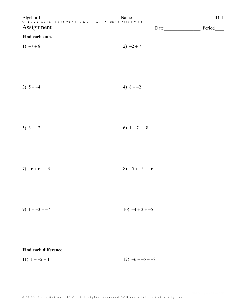|                       | Algebra 1 Name Name 2022 Kuta Software LLC. All rights reserved. | ID: 1  |
|-----------------------|------------------------------------------------------------------|--------|
| Assignment            | Date                                                             | Period |
| Find each sum.        |                                                                  |        |
| 1) $-7+8$             | $2) -2 + 7$                                                      |        |
|                       |                                                                  |        |
|                       |                                                                  |        |
| 3) $5 + -4$           | 4) $8 + -2$                                                      |        |
|                       |                                                                  |        |
|                       |                                                                  |        |
| 5) $3 + -2$           | 6) $1+7+-8$                                                      |        |
|                       |                                                                  |        |
|                       |                                                                  |        |
| $7) -6 + 6 + -3$      | $8) -5 + -5 + -6$                                                |        |
|                       |                                                                  |        |
|                       |                                                                  |        |
| 9) $1 + -3 + -7$      | $10) -4 + 3 + -5$                                                |        |
|                       |                                                                  |        |
|                       |                                                                  |        |
| Find each difference. |                                                                  |        |

12)  $-6 - -5 - -8$ 11)  $1 - -2 - 1$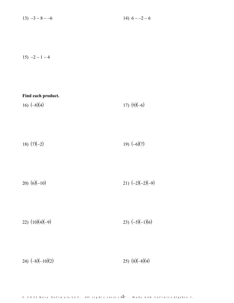$13) -3 - 8 - -6$ 14)  $6 - -2 - 6$ 

 $15) -2 - 1 - 4$ 

| Find each product.<br>16) $(-8)(4)$ | 17) $(9)(-6)$      |
|-------------------------------------|--------------------|
|                                     |                    |
| 18) $(7)(-2)$                       | 19) $(-6)(7)$      |
|                                     |                    |
| 20) $(6)(-10)$                      | 21) $(-2)(-2)(-9)$ |
|                                     |                    |
| 22) $(10)(4)(-9)$                   | 23) $(-5)(-1)(6)$  |
|                                     |                    |

24)  $(-8)(-10)(2)$ 25)  $(8)(-8)(4)$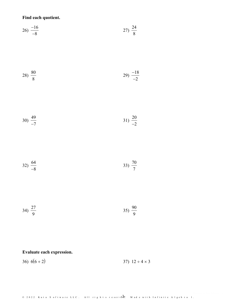Find each quotient.

$$
26) \frac{-16}{-8} \tag{27} \frac{24}{8}
$$

$$
28) \frac{80}{8} \qquad \qquad 29) \frac{-18}{-2}
$$

$$
30) \frac{49}{-7}
$$

$$
32) \frac{64}{-8} \tag{33} \frac{70}{7}
$$

34)  $\frac{27}{9}$ 35)  $\frac{90}{9}$ 

# Evaluate each expression.

36)  $6(6+2)$ 37)  $12 \div 4 \times 3$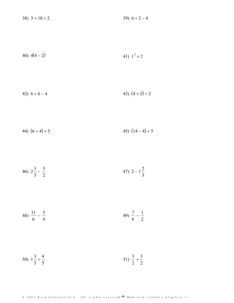| 38) $3 \times 10 \div 2$ | 39) $6 \times 2 - 4$ |
|--------------------------|----------------------|
|                          |                      |

40) 
$$
4(4-2)
$$
 41)  $1^3 \times 2$ 

42) 
$$
6 \times 6 - 4
$$
 43)  $(4 \times 2) \div 2$ 

44) 
$$
(6+4) \times 5
$$
 45)  $(14-4) \div 5$ 

$$
46) \ 2\frac{1}{5} - \frac{3}{2} \qquad \qquad 47) \ 2 - 1\frac{2}{3}
$$

$$
48)\ \frac{11}{6} - \frac{5}{4} \qquad \qquad 49)\ \frac{7}{6} - \frac{1}{2}
$$

50) 
$$
1\frac{3}{5} + \frac{4}{5}
$$
 51)  $\frac{3}{2} + \frac{3}{2}$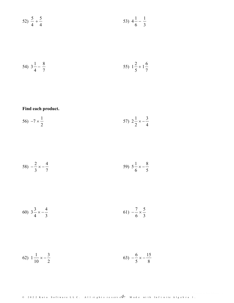$$
52) \frac{5}{4} + \frac{5}{4}
$$
\n
$$
53) \frac{4}{6} - \frac{1}{3}
$$

54) 
$$
3\frac{1}{4} - \frac{8}{7}
$$
 55)  $1\frac{2}{5} + 1\frac{6}{7}$ 

Find each product.

$$
56) -7 \times \frac{1}{2} \qquad \qquad 57) \ 2\frac{1}{2} \times -\frac{3}{4}
$$

$$
58) -\frac{2}{3} \times -\frac{4}{7}
$$
 
$$
59) 5\frac{1}{6} \times -\frac{8}{5}
$$

60) 
$$
3\frac{3}{4} \times -\frac{4}{3}
$$
   
61)  $-\frac{7}{6} \times \frac{5}{3}$ 

$$
(62) \ \ 1\frac{1}{10} \times -\frac{3}{2} \tag{63} \ -\frac{6}{5} \times -\frac{15}{8}
$$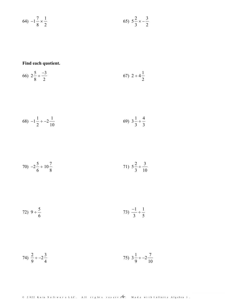$$
(64) -1\frac{7}{8} \times \frac{1}{2} \tag{65} \quad 5\frac{2}{3} \times -\frac{3}{2}
$$

Find each quotient.

$$
66) \ 2\frac{5}{8} \div \frac{-3}{2} \tag{67} \ 2 \div 4\frac{1}{2}
$$

68) 
$$
-1\frac{1}{2} \div -2\frac{1}{10}
$$
 (69)  $3\frac{1}{3} \div \frac{4}{3}$ 

70) 
$$
-2\frac{5}{6} \div 10\frac{7}{8}
$$
   
71)  $5\frac{2}{3} \div \frac{3}{10}$ 

72) 
$$
9 \div \frac{5}{6}
$$
 73)  $\frac{-1}{3} \div \frac{1}{5}$ 

74) 
$$
\frac{2}{9} \div -2\frac{3}{4}
$$
 75)  $3\frac{1}{9} \div -2\frac{7}{10}$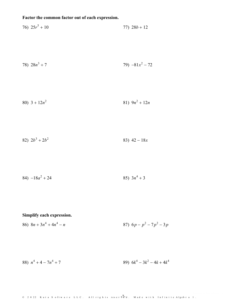# Factor the common factor out of each expression.

76) 
$$
25r^5 + 10
$$
  
77)  $28b + 12$   
78)  $28n^3 + 7$   
79)  $-81x^2 - 72$   
80)  $3 + 12n^2$   
81)  $9n^2 + 12n$   
82)  $2b^3 + 2b^2$   
83)  $42 - 18x$ 

84) 
$$
-18a^2 + 24
$$
 85)  $3n^4 + 3$ 

# Simplify each expression.

86) 
$$
8n + 3n^4 + 4n^4 - n
$$
  
87)  $6p - p^2 - 7p^2 - 3p$ 

88)  $n^4 + 4 - 7n^4 + 7$ 89)  $6k^4 - 3k^2 - 4k + 4k^4$